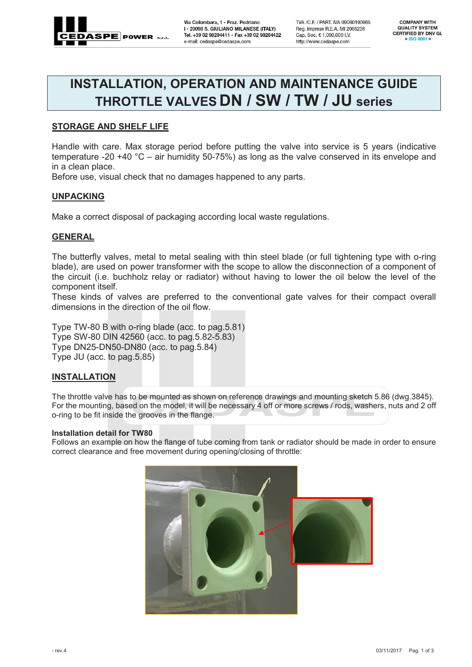

Via Colombara, 1 - Fraz. Pedriano I - 20098 S. GIULIANO MILANESE (ITALY) Tel. +39 02 98204411 - Fax +39 02 98204422 e-mail: cedaspe@cedaspe.com

TVA / C.F. / PART. IVA 09060190965 Reg. Imprese R.E.A. MI 2066238 Cap. Soc. € 1,000,000 I.V. http://www.cedaspe.com

**COMPANY WITH QUALITY SYSTEM CERTIFIED BY DNV GL**  $=$  ISO 9001 =

# **INSTALLATION, OPERATION AND MAINTENANCE GUIDE THROTTLE VALVES DN / SW / TW / JU series**

# **STORAGE AND SHELF LIFE**

Handle with care. Max storage period before putting the valve into service is 5 years (indicative temperature -20 +40 °C – air humidity 50-75%) as long as the valve conserved in its envelope and in a clean place.

Before use, visual check that no damages happened to any parts.

# **UNPACKING**

Make a correct disposal of packaging according local waste regulations.

# **GENERAL**

The butterfly valves, metal to metal sealing with thin steel blade (or full tightening type with o-ring blade), are used on power transformer with the scope to allow the disconnection of a component of the circuit (i.e. buchholz relay or radiator) without having to lower the oil below the level of the component itself.

These kinds of valves are preferred to the conventional gate valves for their compact overall dimensions in the direction of the oil flow.

Type TW-80 B with o-ring blade (acc. to pag.5.81) Type SW-80 DIN 42560 (acc. to pag.5.82-5.83) Type DN25-DN50-DN80 (acc. to pag.5.84) Type JU (acc. to pag.5.85)

# **INSTALLATION**

The throttle valve has to be mounted as shown on reference drawings and mounting sketch 5.86 (dwg.3845). For the mounting, based on the model, it will be necessary 4 off or more screws / rods, washers, nuts and 2 off o-ring to be fit inside the grooves in the flange.

#### **Installation detail for TW80**

Follows an example on how the flange of tube coming from tank or radiator should be made in order to ensure correct clearance and free movement during opening/closing of throttle:

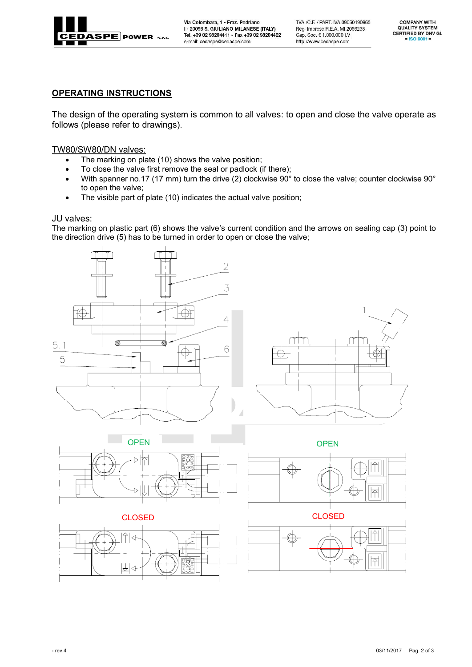

Via Colombara, 1 - Fraz. Pedriano I - 20098 S. GIULIANO MILANESE (ITALY) Tel. +39 02 98204411 - Fax +39 02 98204422 e-mail: cedaspe@cedaspe.com

TVA / C.F. / PART. IVA 09060190965 Reg. Imprese R.E.A. MI 2066238 Cap. Soc. € 1.000.000 I.V. http://www.cedaspe.com

**COMPANY WITH QUALITY SYSTEM CERTIFIED BY DNV GL**  $=$  ISO 9001 =

# **OPERATING INSTRUCTIONS**

The design of the operating system is common to all valves: to open and close the valve operate as follows (please refer to drawings).

# TW80/SW80/DN valves:

- The marking on plate (10) shows the valve position;
- To close the valve first remove the seal or padlock (if there);
- With spanner no.17 (17 mm) turn the drive (2) clockwise 90° to close the valve; counter clockwise 90° to open the valve;
- The visible part of plate (10) indicates the actual valve position;

# **JU** valves:

The marking on plastic part (6) shows the valve's current condition and the arrows on sealing cap (3) point to the direction drive (5) has to be turned in order to open or close the valve;

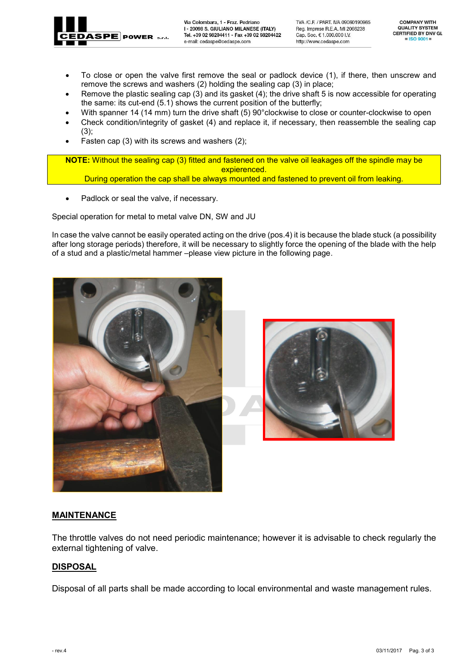

Via Colombara, 1 - Fraz. Pedriano I - 20098 S. GIULIANO MILANESE (ITALY) Tel. +39 02 98204411 - Fax +39 02 98204422 e-mail: cedaspe@cedaspe.com

TVA / C.F. / PART. IVA 09060190965 Reg. Imprese R.E.A. MI 2066238 Cap. Soc. € 1,000,000 I.V. http://www.cedaspe.com

**COMPANY WITH QUALITY SYSTEM CERTIFIED BY DNV GL**  $=$  ISO 9001 =

- To close or open the valve first remove the seal or padlock device (1), if there, then unscrew and remove the screws and washers (2) holding the sealing cap (3) in place;
- Remove the plastic sealing cap (3) and its gasket (4); the drive shaft 5 is now accessible for operating the same: its cut-end (5.1) shows the current position of the butterfly;
- With spanner 14 (14 mm) turn the drive shaft (5) 90°clockwise to close or counter-clockwise to open
- Check condition/integrity of gasket (4) and replace it, if necessary, then reassemble the sealing cap (3);
- Fasten cap (3) with its screws and washers (2);

**NOTE:** Without the sealing cap (3) fitted and fastened on the valve oil leakages off the spindle may be expierenced. During operation the cap shall be always mounted and fastened to prevent oil from leaking.

• Padlock or seal the valve, if necessary.

Special operation for metal to metal valve DN, SW and JU

In case the valve cannot be easily operated acting on the drive (pos.4) it is because the blade stuck (a possibility after long storage periods) therefore, it will be necessary to slightly force the opening of the blade with the help of a stud and a plastic/metal hammer –please view picture in the following page.





### **MAINTENANCE**

The throttle valves do not need periodic maintenance; however it is advisable to check regularly the external tightening of valve.

# **DISPOSAL**

Disposal of all parts shall be made according to local environmental and waste management rules.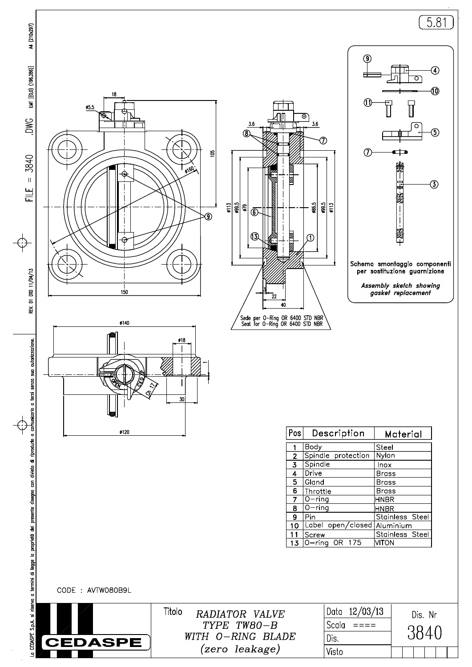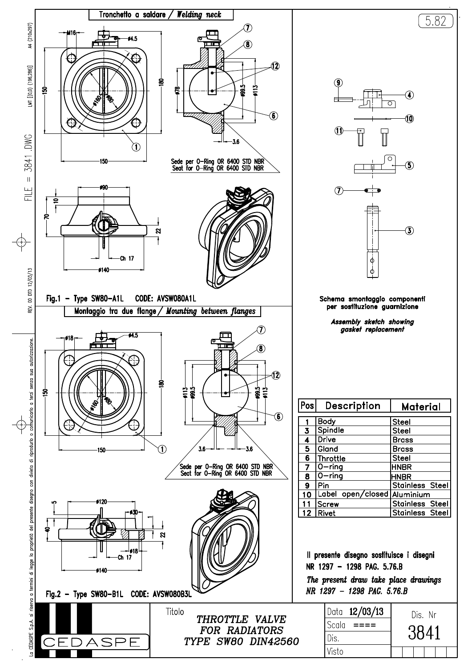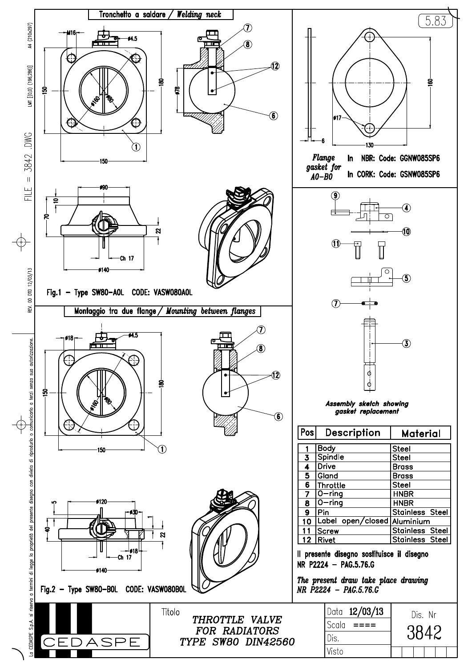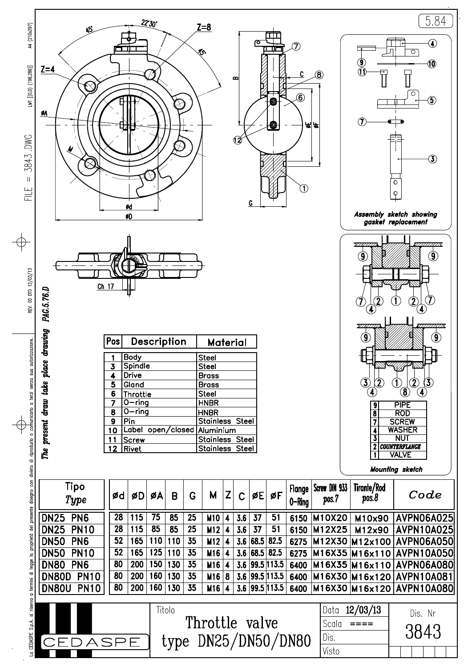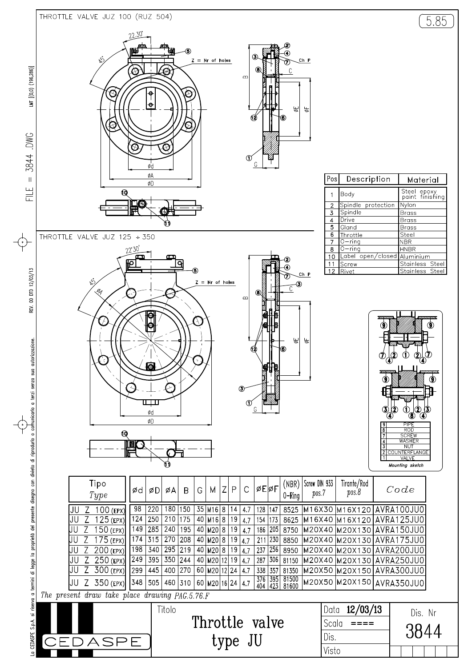